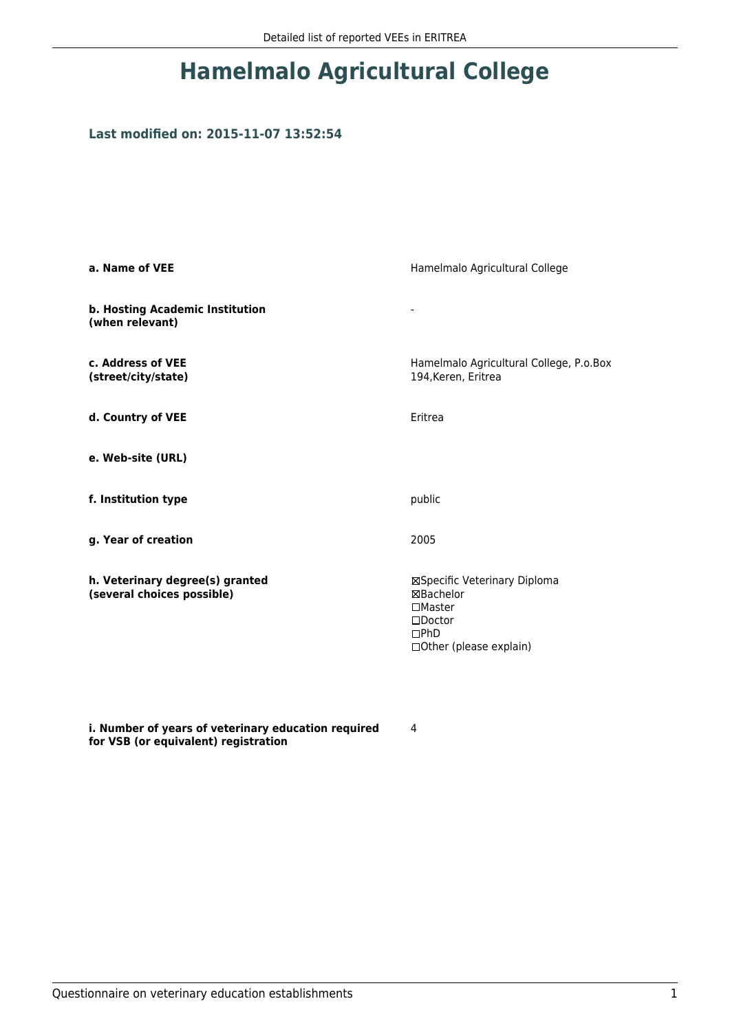## **Hamelmalo Agricultural College**

## **Last modified on: 2015-11-07 13:52:54**

| a. Name of VEE                                                | Hamelmalo Agricultural College                                                                                    |  |
|---------------------------------------------------------------|-------------------------------------------------------------------------------------------------------------------|--|
| b. Hosting Academic Institution<br>(when relevant)            | -                                                                                                                 |  |
| c. Address of VEE<br>(street/city/state)                      | Hamelmalo Agricultural College, P.o.Box<br>194, Keren, Eritrea                                                    |  |
| d. Country of VEE                                             | Eritrea                                                                                                           |  |
| e. Web-site (URL)                                             |                                                                                                                   |  |
| f. Institution type                                           | public                                                                                                            |  |
| g. Year of creation                                           | 2005                                                                                                              |  |
| h. Veterinary degree(s) granted<br>(several choices possible) | ⊠Specific Veterinary Diploma<br>⊠Bachelor<br>$\Box$ Master<br>$\square$ Doctor<br>DPhD<br>□Other (please explain) |  |

**i. Number of years of veterinary education required for VSB (or equivalent) registration**

4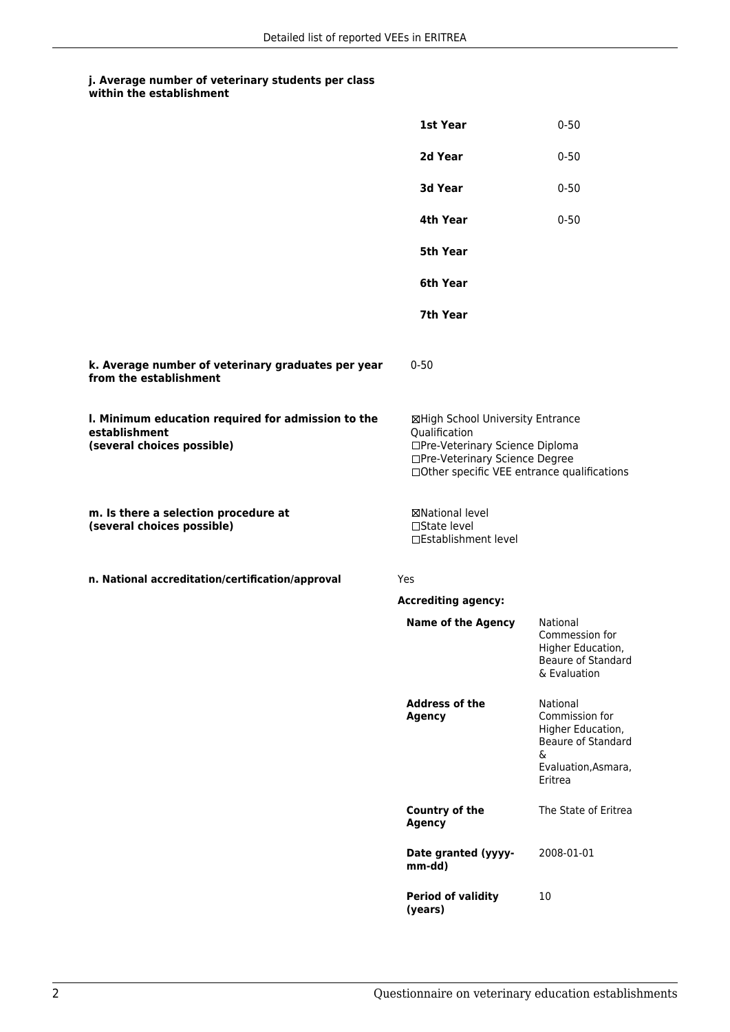## **j. Average number of veterinary students per class within the establishment**

|                                                                                                   | 1st Year                                                                                                                                                              | $0 - 50$                                                                                                     |
|---------------------------------------------------------------------------------------------------|-----------------------------------------------------------------------------------------------------------------------------------------------------------------------|--------------------------------------------------------------------------------------------------------------|
|                                                                                                   | 2d Year                                                                                                                                                               | $0 - 50$                                                                                                     |
|                                                                                                   | 3d Year                                                                                                                                                               | $0 - 50$                                                                                                     |
|                                                                                                   | 4th Year                                                                                                                                                              | $0 - 50$                                                                                                     |
|                                                                                                   | <b>5th Year</b>                                                                                                                                                       |                                                                                                              |
|                                                                                                   | 6th Year                                                                                                                                                              |                                                                                                              |
|                                                                                                   | 7th Year                                                                                                                                                              |                                                                                                              |
| k. Average number of veterinary graduates per year<br>from the establishment                      | $0 - 50$                                                                                                                                                              |                                                                                                              |
| I. Minimum education required for admission to the<br>establishment<br>(several choices possible) | ⊠High School University Entrance<br>Qualification<br>□Pre-Veterinary Science Diploma<br>□Pre-Veterinary Science Degree<br>□Other specific VEE entrance qualifications |                                                                                                              |
| m. Is there a selection procedure at<br>(several choices possible)                                | <b>⊠National level</b><br>□State level<br>□Establishment level                                                                                                        |                                                                                                              |
| n. National accreditation/certification/approval                                                  | Yes                                                                                                                                                                   |                                                                                                              |
|                                                                                                   | <b>Accrediting agency:</b>                                                                                                                                            |                                                                                                              |
|                                                                                                   | <b>Name of the Agency</b>                                                                                                                                             | National<br>Commession for<br>Higher Education.<br>Beaure of Standard<br>& Evaluation                        |
|                                                                                                   | <b>Address of the</b><br><b>Agency</b>                                                                                                                                | National<br>Commission for<br>Higher Education,<br>Beaure of Standard<br>&<br>Evaluation, Asmara,<br>Eritrea |
|                                                                                                   | Country of the<br><b>Agency</b>                                                                                                                                       | The State of Eritrea                                                                                         |
|                                                                                                   | Date granted (yyyy-<br>mm-dd)                                                                                                                                         | 2008-01-01                                                                                                   |
|                                                                                                   | <b>Period of validity</b><br>(years)                                                                                                                                  | 10                                                                                                           |